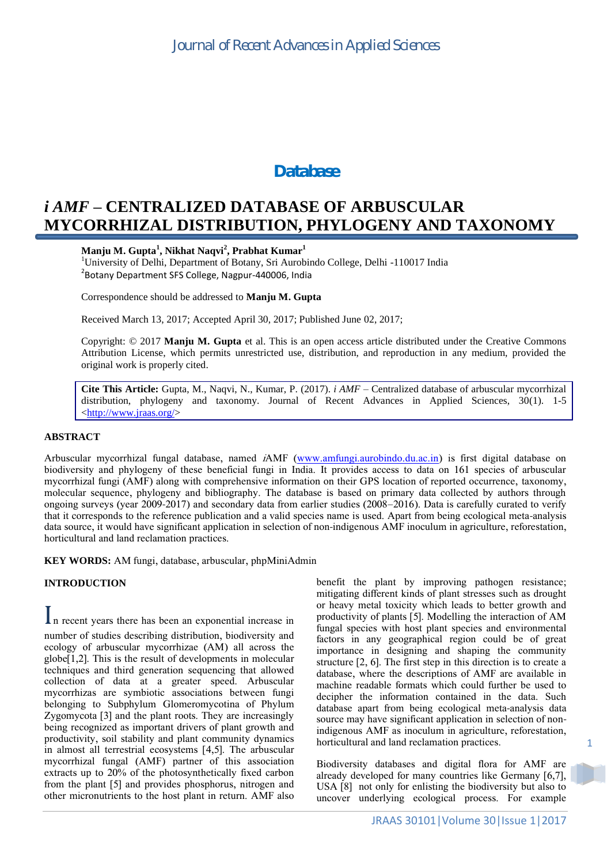# *Database*

# *i AMF* **– CENTRALIZED DATABASE OF ARBUSCULAR MYCORRHIZAL DISTRIBUTION, PHYLOGENY AND TAXONOMY**

### **Manju M. Gupta<sup>1</sup> , Nikhat Naqvi<sup>2</sup> , Prabhat Kumar<sup>1</sup>**

<sup>1</sup>University of Delhi, Department of Botany, Sri Aurobindo College, Delhi -110017 India <sup>2</sup>Botany Department SFS College, Nagpur-440006, India

Correspondence should be addressed to **Manju M. Gupta**

Received March 13, 2017; Accepted April 30, 2017; Published June 02, 2017;

Copyright: © 2017 **Manju M. Gupta** et al. This is an open access article distributed under the Creative Commons Attribution License, which permits unrestricted use, distribution, and reproduction in any medium, provided the original work is properly cited.

**Cite This Article:** Gupta, M., Naqvi, N., Kumar, P. (2017). *i AMF* – Centralized database of arbuscular mycorrhizal distribution, phylogeny and taxonomy. Journal of Recent Advances in Applied Sciences, 30(1). 1-5 [<http://www.jraas.org/>](http://www.jraas.org/)

### **ABSTRACT**

Arbuscular mycorrhizal fungal database, named iAMF [\(www.amfungi.aurobindo.du.ac.in\)](http://www.amfungi.aurobindo.du.ac.in/) is first digital database on biodiversity and phylogeny of these beneficial fungi in India. It provides access to data on 161 species of arbuscular mycorrhizal fungi (AMF) along with comprehensive information on their GPS location of reported occurrence, taxonomy, molecular sequence, phylogeny and bibliography. The database is based on primary data collected by authors through ongoing surveys (year 2009-2017) and secondary data from earlier studies (2008–2016). Data is carefully curated to verify that it corresponds to the reference publication and a valid species name is used. Apart from being ecological meta-analysis data source, it would have significant application in selection of non-indigenous AMF inoculum in agriculture, reforestation, horticultural and land reclamation practices.

**KEY WORDS:** AM fungi, database, arbuscular, phpMiniAdmin

#### **INTRODUCTION**

In recent years there has been an exponential increase in number of studies describing distribution, biodiversity and ecology of arbuscular mycorrhizae (AM) all across the globe[1,2]. This is the result of developments in molecular techniques and third generation sequencing that allowed collection of data at a greater speed. Arbuscular mycorrhizas are symbiotic associations between fungi belonging to Subphylum Glomeromycotina of Phylum Zygomycota [3] and the plant roots. They are increasingly being recognized as important drivers of plant growth and productivity, soil stability and plant community dynamics in almost all terrestrial ecosystems [4,5]. The arbuscular mycorrhizal fungal (AMF) partner of this association extracts up to 20% of the photosynthetically fixed carbon from the plant [5] and provides phosphorus, nitrogen and other micronutrients to the host plant in return. AMF also benefit the plant by improving pathogen resistance; mitigating different kinds of plant stresses such as drought or heavy metal toxicity which leads to better growth and productivity of plants [5]. Modelling the interaction of AM fungal species with host plant species and environmental factors in any geographical region could be of great importance in designing and shaping the community structure [2, 6]. The first step in this direction is to create a database, where the descriptions of AMF are available in machine readable formats which could further be used to decipher the information contained in the data. Such database apart from being ecological meta-analysis data source may have significant application in selection of nonindigenous AMF as inoculum in agriculture, reforestation, horticultural and land reclamation practices.

Biodiversity databases and digital flora for AMF are already developed for many countries like Germany [6,7], USA [8] not only for enlisting the biodiversity but also to uncover underlying ecological process. For example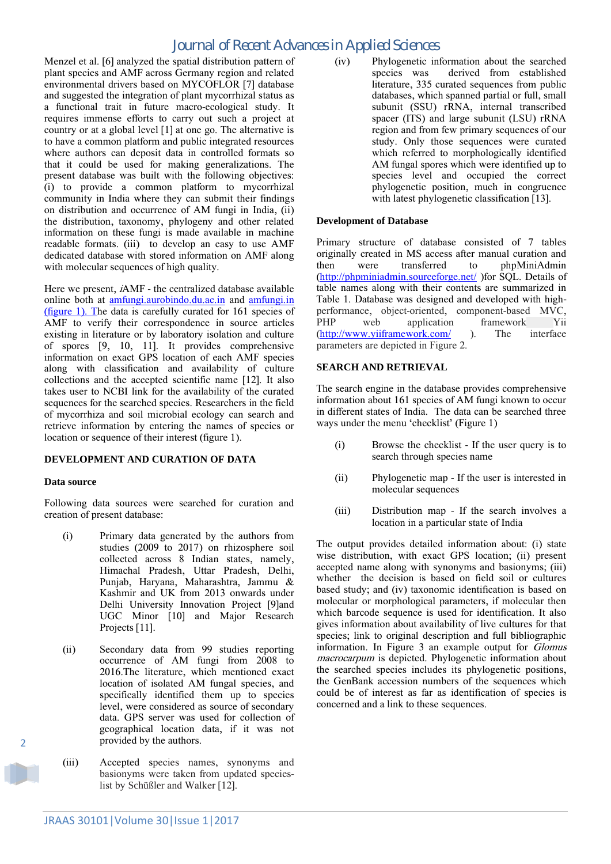# *Journal of Recent Advances in Applied Sciences*

Menzel et al. [6] analyzed the spatial distribution pattern of plant species and AMF across Germany region and related environmental drivers based on MYCOFLOR [7] database and suggested the integration of plant mycorrhizal status as a functional trait in future macro-ecological study. It requires immense efforts to carry out such a project at country or at a global level [1] at one go. The alternative is to have a common platform and public integrated resources where authors can deposit data in controlled formats so that it could be used for making generalizations. The present database was built with the following objectives: (i) to provide a common platform to mycorrhizal community in India where they can submit their findings on distribution and occurrence of AM fungi in India, (ii) the distribution, taxonomy, phylogeny and other related information on these fungi is made available in machine readable formats. (iii) to develop an easy to use AMF dedicated database with stored information on AMF along with molecular sequences of high quality.

Here we present, iAMF - the centralized database available online both at [amfungi.aurobindo.du.ac.in](file:///C:/Users/abc/Desktop/biodiversity%20phase2/current%20science/amfungi.in) and [amfungi.in](file:///C:/Users/abc/Desktop/biodiversity%20phase2/current%20science/amfungi.in)  (figure 1). The data is carefully curated for 161 species of AMF to verify their correspondence in source articles existing in literature or by laboratory isolation and culture of spores [9, 10, 11]. It provides comprehensive information on exact GPS location of each AMF species along with classification and availability of culture collections and the accepted scientific name [12]. It also takes user to NCBI link for the availability of the curated sequences for the searched species. Researchers in the field of mycorrhiza and soil microbial ecology can search and retrieve information by entering the names of species or location or sequence of their interest (figure 1).

### **DEVELOPMENT AND CURATION OF DATA**

#### **Data source**

Following data sources were searched for curation and creation of present database:

- (i) Primary data generated by the authors from studies (2009 to 2017) on rhizosphere soil collected across 8 Indian states, namely, Himachal Pradesh, Uttar Pradesh, Delhi, Punjab, Haryana, Maharashtra, Jammu & Kashmir and UK from 2013 onwards under Delhi University Innovation Project [9]and UGC Minor [10] and Major Research Projects [11].
- (ii) Secondary data from 99 studies reporting occurrence of AM fungi from 2008 to 2016.The literature, which mentioned exact location of isolated AM fungal species, and specifically identified them up to species level, were considered as source of secondary data. GPS server was used for collection of geographical location data, if it was not provided by the authors.
- (iii) Accepted species names, synonyms and basionyms were taken from updated specieslist by Schüßler and Walker [12].

(iv) Phylogenetic information about the searched species was derived from established literature, 335 curated sequences from public databases, which spanned partial or full, small subunit (SSU) rRNA, internal transcribed spacer (ITS) and large subunit (LSU) rRNA region and from few primary sequences of our study. Only those sequences were curated which referred to morphologically identified AM fungal spores which were identified up to species level and occupied the correct phylogenetic position, much in congruence with latest phylogenetic classification [13].

#### **Development of Database**

Primary structure of database consisted of 7 tables originally created in MS access after manual curation and then were transferred to phpMiniAdmin [\(http://phpminiadmin.sourceforge.net/](http://phpminiadmin.sourceforge.net/) )for SQL. Details of table names along with their contents are summarized in Table 1. Database was designed and developed with highperformance, object-oriented, component-based MVC, PHP web application framework Yii [\(http://www.yiiframework.com/](http://www.yiiframework.com/) ). The interface parameters are depicted in Figure 2.

#### **SEARCH AND RETRIEVAL**

The search engine in the database provides comprehensive information about 161 species of AM fungi known to occur in different states of India. The data can be searched three ways under the menu 'checklist' (Figure 1)

- (i) Browse the checklist If the user query is to search through species name
- (ii) Phylogenetic map If the user is interested in molecular sequences
- (iii) Distribution map If the search involves a location in a particular state of India

The output provides detailed information about: (i) state wise distribution, with exact GPS location; (ii) present accepted name along with synonyms and basionyms; (iii) whether the decision is based on field soil or cultures based study; and (iv) taxonomic identification is based on molecular or morphological parameters, if molecular then which barcode sequence is used for identification. It also gives information about availability of live cultures for that species; link to original description and full bibliographic information. In Figure 3 an example output for Glomus macrocarpum is depicted. Phylogenetic information about the searched species includes its phylogenetic positions, the GenBank accession numbers of the sequences which could be of interest as far as identification of species is concerned and a link to these sequences.

2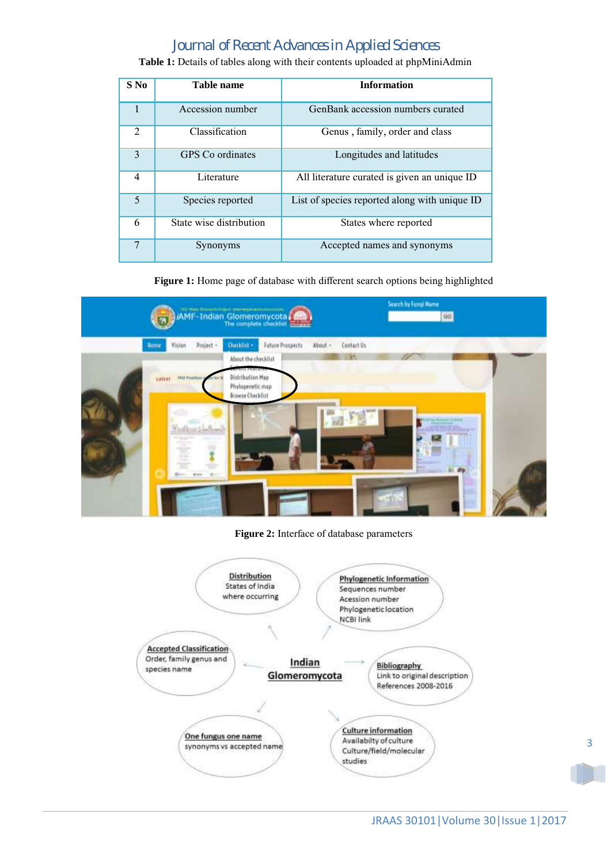# *Journal of Recent Advances in Applied Sciences*

| $S$ No         | Table name              | <b>Information</b>                            |
|----------------|-------------------------|-----------------------------------------------|
| 1              | Accession number        | GenBank accession numbers curated             |
| $\mathfrak{D}$ | Classification          | Genus, family, order and class                |
| 3              | GPS Co ordinates        | Longitudes and latitudes                      |
| 4              | Literature              | All literature curated is given an unique ID  |
| 5              | Species reported        | List of species reported along with unique ID |
| 6              | State wise distribution | States where reported                         |
| $\overline{7}$ | Synonyms                | Accepted names and synonyms                   |

**Table 1:** Details of tables along with their contents uploaded at phpMiniAdmin

**Figure 1:** Home page of database with different search options being highlighted



**Figure 2:** Interface of database parameters

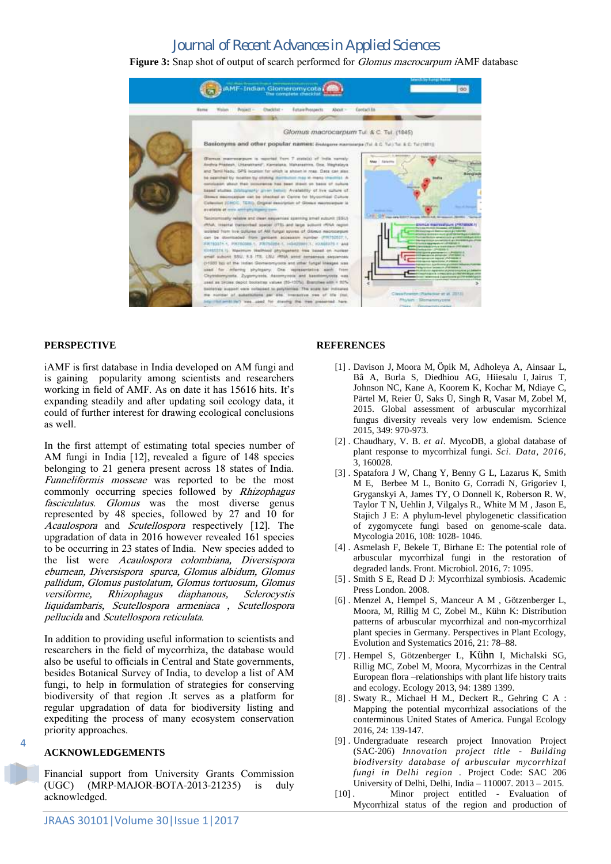## *Journal of Recent Advances in Applied Sciences*

**Figure 3:** Snap shot of output of search performed for Glomus macrocarpum iAMF database



#### **PERSPECTIVE**

iAMF is first database in India developed on AM fungi and is gaining popularity among scientists and researchers working in field of AMF. As on date it has 15616 hits. It's expanding steadily and after updating soil ecology data, it could of further interest for drawing ecological conclusions as well.

In the first attempt of estimating total species number of AM fungi in India [12], revealed a figure of 148 species belonging to 21 genera present across 18 states of India. Funneliformis mosseae was reported to be the most commonly occurring species followed by Rhizophagus fasciculatus. Glomus was the most diverse genus represented by 48 species, followed by 27 and 10 for Acaulospora and Scutellospora respectively [12]. The upgradation of data in 2016 however revealed 161 species to be occurring in 23 states of India. New species added to the list were Acaulospora colombiana, Diversispora eburnean, Diversispora spurca, Glomus albidum, Glomus pallidum, Glomus pustolatum, Glomus tortuosum, Glomus versiforme, Rhizophagus diaphanous, Sclerocystis liquidambaris, Scutellospora armeniaca , Scutellospora pellucida and Scutellospora reticulata.

In addition to providing useful information to scientists and researchers in the field of mycorrhiza, the database would also be useful to officials in Central and State governments, besides Botanical Survey of India, to develop a list of AM fungi, to help in formulation of strategies for conserving biodiversity of that region .It serves as a platform for regular upgradation of data for biodiversity listing and expediting the process of many ecosystem conservation priority approaches.

#### **ACKNOWLEDGEMENTS**

 $\overline{A}$ 

Financial support from University Grants Commission (UGC) (MRP-MAJOR-BOTA-2013-21235) is duly acknowledged.

#### **REFERENCES**

- [1] . Davison J, Moora M, Öpik M, Adholeya A, Ainsaar L, Bâ A, Burla S, Diedhiou AG, Hiiesalu I, Jairus T, Johnson NC, Kane A, Koorem K, Kochar M, Ndiaye C, Pärtel M, Reier Ü, Saks Ü, Singh R, Vasar M, Zobel M, 2015. Global assessment of arbuscular mycorrhizal fungus diversity reveals very low endemism. Science 2015, 349: 970-973.
- [2] . Chaudhary, V. B. *et al.* MycoDB, a global database of plant response to mycorrhizal fungi. *Sci. Data, 2016,* 3, 160028.
- [3] . Spatafora J W, Chang Y, Benny G L, Lazarus K, Smith M E, Berbee M L, Bonito G, Corradi N, Grigoriev I, Gryganskyi A, James TY, O Donnell K, Roberson R. W, Taylor T N, Uehlin J, Vilgalys R., White M M , Jason E, Stajich J E: A phylum-level phylogenetic classification of zygomycete fungi based on genome-scale data. Mycologia 2016, 108: 1028- 1046.
- [4] . Asmelash F, Bekele T, Birhane E: The potential role of arbuscular mycorrhizal fungi in the restoration of degraded lands. Front. Microbiol. 2016, 7: 1095.
- [5] . Smith S E, Read D J: Mycorrhizal symbiosis. Academic Press London. 2008.
- [6] . Menzel A, Hempel S, Manceur A M , Götzenberger L, Moora, M, Rillig M C, Zobel M., Kühn K: Distribution patterns of arbuscular mycorrhizal and non-mycorrhizal plant species in Germany. Perspectives in Plant Ecology, Evolution and Systematics 2016, 21: 78–88.
- [7] . Hempel S, Götzenberger L, Kühn I, Michalski SG, Rillig MC, Zobel M, Moora, Mycorrhizas in the Central European flora –relationships with plant life history traits and ecology. Ecology 2013, 94: 1389 1399.
- [8] . Swaty R., Michael H M., Deckert R., Gehring C A : Mapping the potential mycorrhizal associations of the conterminous United States of America. Fungal Ecology 2016, 24: 139-147.
- [9] . Undergraduate research project Innovation Project (SAC-206) *Innovation project title - Building biodiversity database of arbuscular mycorrhizal fungi in Delhi region .* Project Code: SAC 206 University of Delhi, Delhi, India – 110007. 2013 – 2015.
- [10] . Minor project entitled Evaluation of Mycorrhizal status of the region and production of